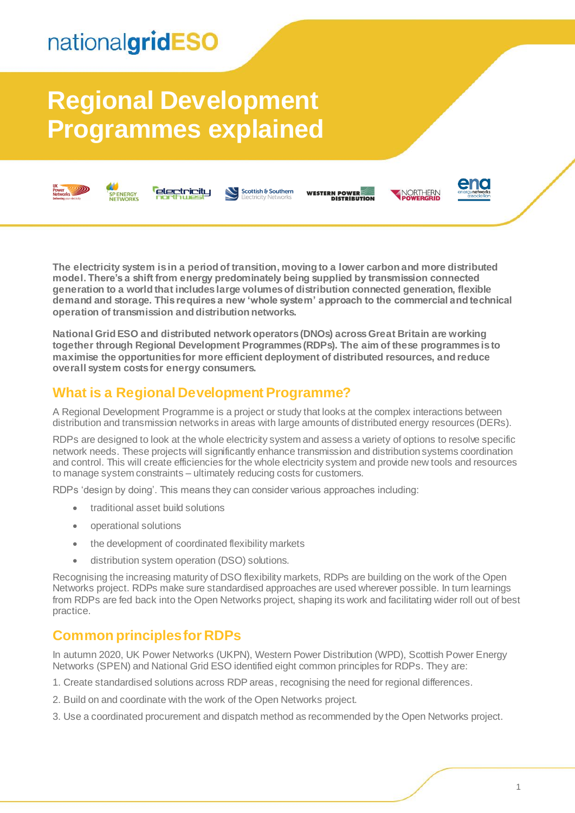## nationalgridESO

# **Regional Development Programmes explained**



*<u>electricity</u>* SP ENERGY<br>NETWORKS



WESTERN POWER





**The electricity system is in a period of transition, moving to a lower carbon and more distributed model. There's a shift from energy predominately being supplied by transmission connected generation to a world that includes large volumes of distribution connected generation, flexible demand and storage. This requires a new 'whole system' approach to the commercial and technical operation of transmission and distribution networks.** 

**National Grid ESO and distributed network operators(DNOs) across Great Britain are working together through Regional Development Programmes (RDPs). The aim of these programmes is to maximise the opportunities for more efficient deployment of distributed resources, and reduce overall system costs for energy consumers.** 

## **What is a Regional Development Programme?**

A Regional Development Programme is a project or study that looks at the complex interactions between distribution and transmission networks in areas with large amounts of distributed energy resources (DERs).

RDPs are designed to look at the whole electricity system and assess a variety of options to resolve specific network needs. These projects will significantly enhance transmission and distribution systems coordination and control. This will create efficiencies for the whole electricity system and provide new tools and resources to manage system constraints – ultimately reducing costs for customers.

RDPs 'design by doing'. This means they can consider various approaches including:

- traditional asset build solutions
- operational solutions
- the development of coordinated flexibility markets
- distribution system operation (DSO) solutions.

Recognising the increasing maturity of DSO flexibility markets, RDPs are building on the work of the Open Networks project. RDPs make sure standardised approaches are used wherever possible. In turn learnings from RDPs are fed back into the Open Networks project, shaping its work and facilitating wider roll out of best practice.

### **Common principles for RDPs**

In autumn 2020, UK Power Networks (UKPN), Western Power Distribution (WPD), Scottish Power Energy Networks (SPEN) and National Grid ESO identified eight common principles for RDPs. They are:

- 1. Create standardised solutions across RDP areas, recognising the need for regional differences.
- 2. Build on and coordinate with the work of the Open Networks project.
- 3. Use a coordinated procurement and dispatch method as recommended by the Open Networks project.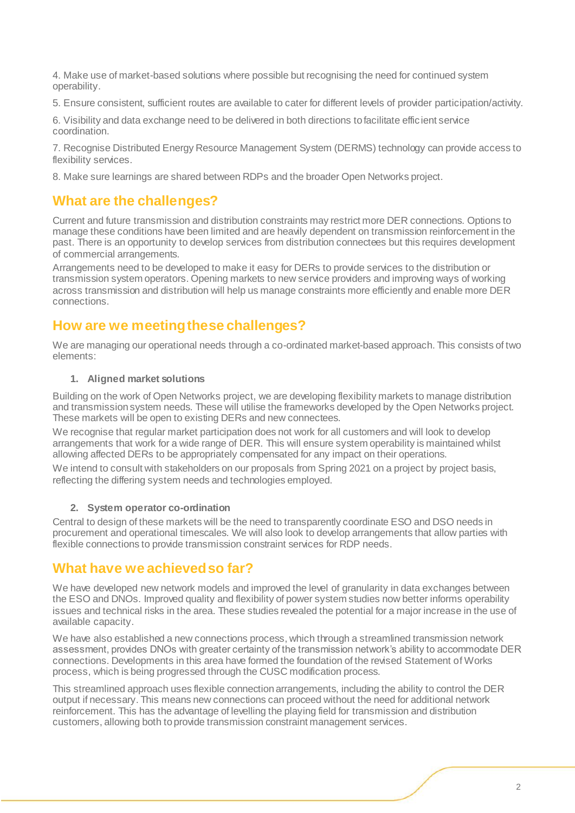4. Make use of market-based solutions where possible but recognising the need for continued system operability.

5. Ensure consistent, sufficient routes are available to cater for different levels of provider participation/activity.

6. Visibility and data exchange need to be delivered in both directions to facilitate efficient service coordination.

7. Recognise Distributed Energy Resource Management System (DERMS) technology can provide access to flexibility services.

8. Make sure learnings are shared between RDPs and the broader Open Networks project.

#### **What are the challenges?**

Current and future transmission and distribution constraints may restrict more DER connections. Options to manage these conditions have been limited and are heavily dependent on transmission reinforcement in the past. There is an opportunity to develop services from distribution connectees but this requires development of commercial arrangements.

Arrangements need to be developed to make it easy for DERs to provide services to the distribution or transmission system operators. Opening markets to new service providers and improving ways of working across transmission and distribution will help us manage constraints more efficiently and enable more DER connections.

### **How are we meeting these challenges?**

We are managing our operational needs through a co-ordinated market-based approach. This consists of two elements:

#### **1. Aligned market solutions**

Building on the work of Open Networks project, we are developing flexibility markets to manage distribution and transmission system needs. These will utilise the frameworks developed by the Open Networks project. These markets will be open to existing DERs and new connectees.

We recognise that regular market participation does not work for all customers and will look to develop arrangements that work for a wide range of DER. This will ensure system operability is maintained whilst allowing affected DERs to be appropriately compensated for any impact on their operations.

We intend to consult with stakeholders on our proposals from Spring 2021 on a project by project basis, reflecting the differing system needs and technologies employed.

#### **2. System operator co-ordination**

Central to design of these markets will be the need to transparently coordinate ESO and DSO needs in procurement and operational timescales. We will also look to develop arrangements that allow parties with flexible connections to provide transmission constraint services for RDP needs.

#### **What have we achieved so far?**

We have developed new network models and improved the level of granularity in data exchanges between the ESO and DNOs. Improved quality and flexibility of power system studies now better informs operability issues and technical risks in the area. These studies revealed the potential for a major increase in the use of available capacity.

We have also established a new connections process, which through a streamlined transmission network assessment, provides DNOs with greater certainty of the transmission network's ability to accommodate DER connections. Developments in this area have formed the foundation of the revised Statement of Works process, which is being progressed through the CUSC modification process.

This streamlined approach uses flexible connection arrangements, including the ability to control the DER output if necessary. This means new connections can proceed without the need for additional network reinforcement. This has the advantage of levelling the playing field for transmission and distribution customers, allowing both to provide transmission constraint management services.